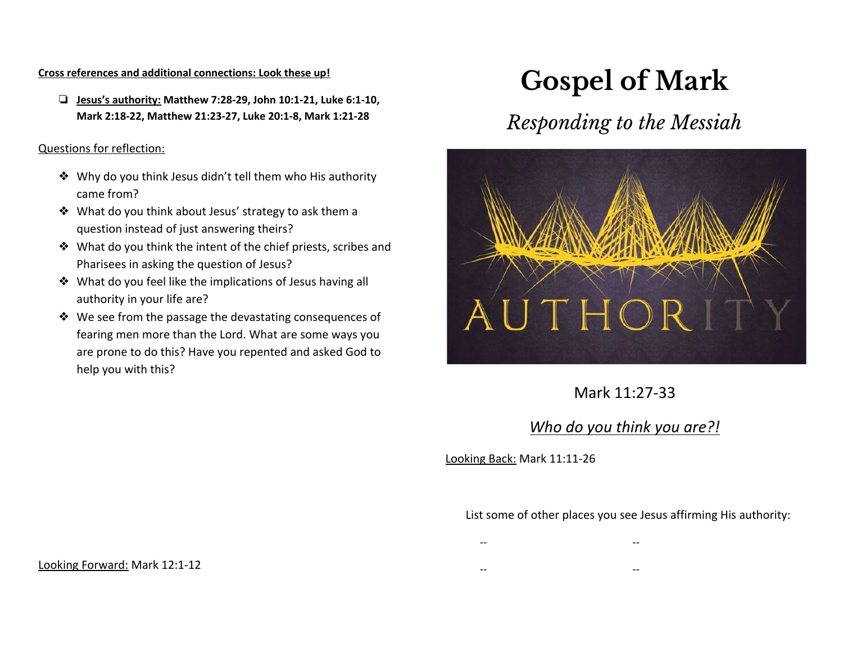#### **Cross references and additional connections: Look these up!**

❏ **Jesus's authority: Matthew 7:28-29, John 10:1-21, Luke 6:1-10, Mark 2:18-22, Matthew 21:23-27, Luke 20:1-8, Mark 1:21-28**

#### Questions for reflection:

- ❖ Why do you think Jesus didn't tell them who His authority came from?
- ❖ What do you think about Jesus' strategy to ask them a question instead of just answering theirs?
- ❖ What do you think the intent of the chief priests, scribes and Pharisees in asking the question of Jesus?
- ❖ What do you feel like the implications of Jesus having all authority in your life are?
- ❖ We see from the passage the devastating consequences of fearing men more than the Lord. What are some ways you are prone to do this? Have you repented and asked God to help you with this?

# **Gospel of Mark**

# *Responding to the Messiah*



Mark 11:27-33

# *Who do you think you are?!*

Looking Back: Mark 11:11-26

List some of other places you see Jesus affirming His authority:

- -- --
- -- --

Looking Forward: Mark 12:1-12